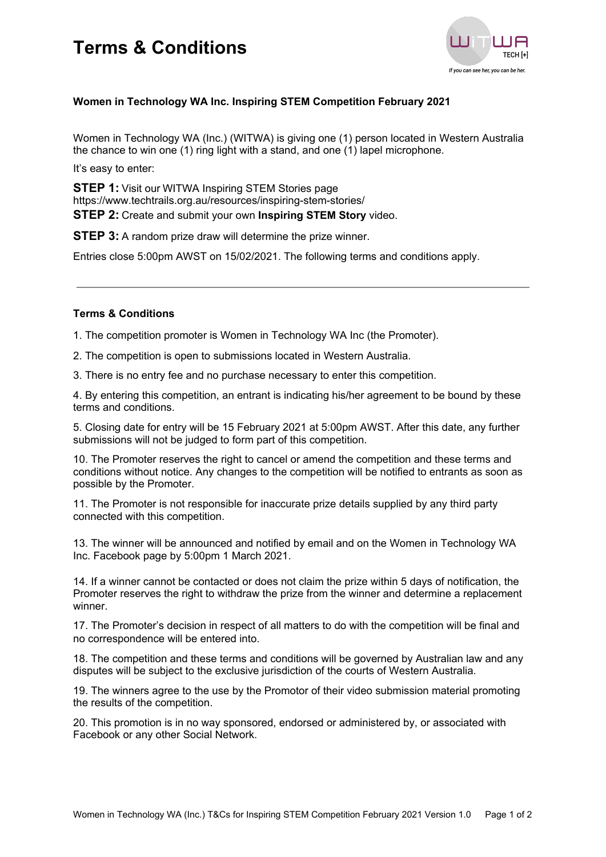## **Terms & Conditions**



### **Women in Technology WA Inc. Inspiring STEM Competition February 2021**

Women in Technology WA (Inc.) (WITWA) is giving one (1) person located in Western Australia the chance to win one (1) ring light with a stand, and one (1) lapel microphone.

It's easy to enter:

**STEP 1:** Visit our WITWA Inspiring STEM Stories page https://www.techtrails.org.au/resources/inspiring-stem-stories/ **STEP 2:** Create and submit your own **Inspiring STEM Story** video.

**STEP 3:** A random prize draw will determine the prize winner.

Entries close 5:00pm AWST on 15/02/2021. The following terms and conditions apply.

#### **Terms & Conditions**

1. The competition promoter is Women in Technology WA Inc (the Promoter).

2. The competition is open to submissions located in Western Australia.

3. There is no entry fee and no purchase necessary to enter this competition.

4. By entering this competition, an entrant is indicating his/her agreement to be bound by these terms and conditions.

5. Closing date for entry will be 15 February 2021 at 5:00pm AWST. After this date, any further submissions will not be judged to form part of this competition.

10. The Promoter reserves the right to cancel or amend the competition and these terms and conditions without notice. Any changes to the competition will be notified to entrants as soon as possible by the Promoter.

11. The Promoter is not responsible for inaccurate prize details supplied by any third party connected with this competition.

13. The winner will be announced and notified by email and on the Women in Technology WA Inc. Facebook page by 5:00pm 1 March 2021.

14. If a winner cannot be contacted or does not claim the prize within 5 days of notification, the Promoter reserves the right to withdraw the prize from the winner and determine a replacement winner.

17. The Promoter's decision in respect of all matters to do with the competition will be final and no correspondence will be entered into.

18. The competition and these terms and conditions will be governed by Australian law and any disputes will be subject to the exclusive jurisdiction of the courts of Western Australia.

19. The winners agree to the use by the Promotor of their video submission material promoting the results of the competition.

20. This promotion is in no way sponsored, endorsed or administered by, or associated with Facebook or any other Social Network.